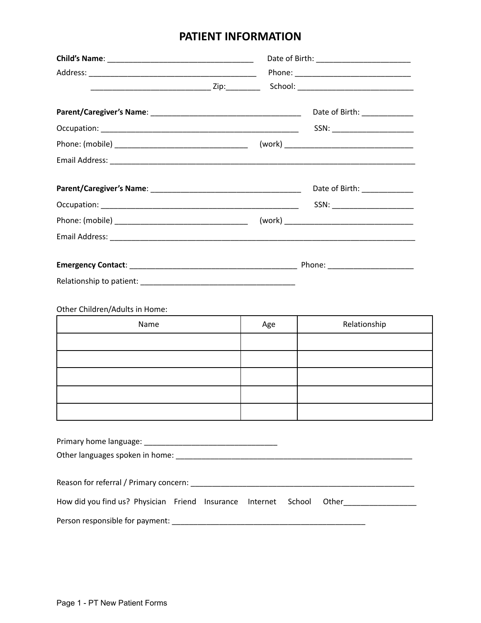## **PATIENT INFORMATION**

|                                                          |     | Date of Birth: ____________    |
|----------------------------------------------------------|-----|--------------------------------|
|                                                          |     | SSN: _________________________ |
|                                                          |     |                                |
|                                                          |     |                                |
|                                                          |     | Date of Birth: ______________  |
|                                                          |     | SSN: ________________________  |
|                                                          |     |                                |
|                                                          |     |                                |
|                                                          |     |                                |
|                                                          |     |                                |
|                                                          |     |                                |
| Other Children/Adults in Home:                           |     |                                |
| Name                                                     | Age | Relationship                   |
|                                                          |     |                                |
|                                                          |     |                                |
|                                                          |     |                                |
|                                                          |     |                                |
|                                                          |     |                                |
|                                                          |     |                                |
|                                                          |     |                                |
|                                                          |     |                                |
|                                                          |     |                                |
|                                                          |     |                                |
| How did you find us? Physician Friend Insurance Internet |     | School                         |
|                                                          |     |                                |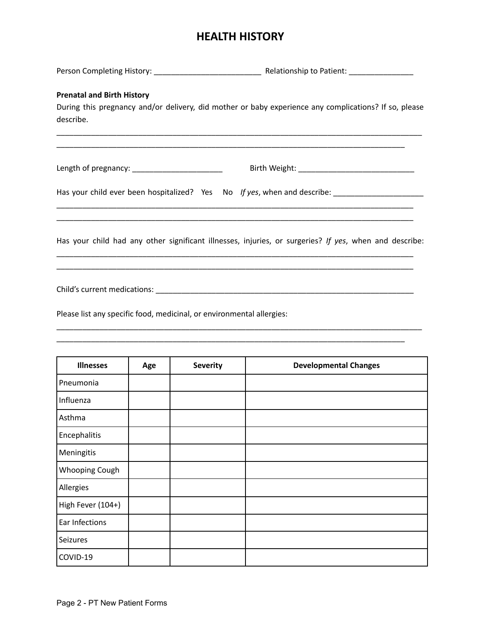## **HEALTH HISTORY**

| <b>Prenatal and Birth History</b><br>During this pregnancy and/or delivery, did mother or baby experience any complications? If so, please<br>describe.<br><u> 1989 - Johann Harry Harry Harry Harry Harry Harry Harry Harry Harry Harry Harry Harry Harry Harry Harry Harry</u> |                                                                                                        |  |  |
|----------------------------------------------------------------------------------------------------------------------------------------------------------------------------------------------------------------------------------------------------------------------------------|--------------------------------------------------------------------------------------------------------|--|--|
| Length of pregnancy: __________________________                                                                                                                                                                                                                                  |                                                                                                        |  |  |
|                                                                                                                                                                                                                                                                                  | Has your child ever been hospitalized? Yes No If yes, when and describe: __________________________    |  |  |
|                                                                                                                                                                                                                                                                                  | Has your child had any other significant illnesses, injuries, or surgeries? If yes, when and describe: |  |  |
|                                                                                                                                                                                                                                                                                  |                                                                                                        |  |  |
| Please list any specific food, medicinal, or environmental allergies:                                                                                                                                                                                                            |                                                                                                        |  |  |
|                                                                                                                                                                                                                                                                                  |                                                                                                        |  |  |

| <b>Illnesses</b>  | Age | <b>Severity</b> | <b>Developmental Changes</b> |
|-------------------|-----|-----------------|------------------------------|
| Pneumonia         |     |                 |                              |
| Influenza         |     |                 |                              |
| Asthma            |     |                 |                              |
| Encephalitis      |     |                 |                              |
| Meningitis        |     |                 |                              |
| Whooping Cough    |     |                 |                              |
| Allergies         |     |                 |                              |
| High Fever (104+) |     |                 |                              |
| Ear Infections    |     |                 |                              |
| <b>Seizures</b>   |     |                 |                              |
| COVID-19          |     |                 |                              |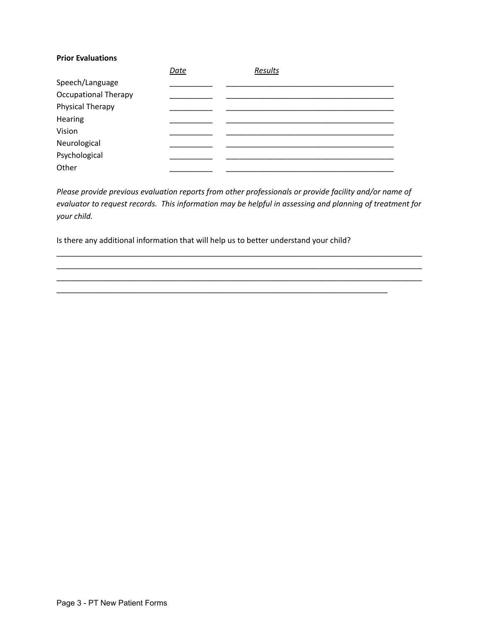## **Prior Evaluations**

|                             | <b>Date</b> | Results |
|-----------------------------|-------------|---------|
| Speech/Language             |             |         |
| <b>Occupational Therapy</b> |             |         |
| Physical Therapy            |             |         |
| Hearing                     |             |         |
| Vision                      |             |         |
| Neurological                |             |         |
| Psychological               |             |         |
| Other                       |             |         |

*Please provide previous evaluation reports from other professionals or provide facility and/or name of evaluator to request records. This information may be helpful in assessing and planning of treatment for your child.*

\_\_\_\_\_\_\_\_\_\_\_\_\_\_\_\_\_\_\_\_\_\_\_\_\_\_\_\_\_\_\_\_\_\_\_\_\_\_\_\_\_\_\_\_\_\_\_\_\_\_\_\_\_\_\_\_\_\_\_\_\_\_\_\_\_\_\_\_\_\_\_\_\_\_\_\_\_\_\_\_\_\_\_\_\_ \_\_\_\_\_\_\_\_\_\_\_\_\_\_\_\_\_\_\_\_\_\_\_\_\_\_\_\_\_\_\_\_\_\_\_\_\_\_\_\_\_\_\_\_\_\_\_\_\_\_\_\_\_\_\_\_\_\_\_\_\_\_\_\_\_\_\_\_\_\_\_\_\_\_\_\_\_\_\_\_\_\_\_\_\_ \_\_\_\_\_\_\_\_\_\_\_\_\_\_\_\_\_\_\_\_\_\_\_\_\_\_\_\_\_\_\_\_\_\_\_\_\_\_\_\_\_\_\_\_\_\_\_\_\_\_\_\_\_\_\_\_\_\_\_\_\_\_\_\_\_\_\_\_\_\_\_\_\_\_\_\_\_\_\_\_\_\_\_\_\_

\_\_\_\_\_\_\_\_\_\_\_\_\_\_\_\_\_\_\_\_\_\_\_\_\_\_\_\_\_\_\_\_\_\_\_\_\_\_\_\_\_\_\_\_\_\_\_\_\_\_\_\_\_\_\_\_\_\_\_\_\_\_\_\_\_\_\_\_\_\_\_\_\_\_\_\_\_

Is there any additional information that will help us to better understand your child?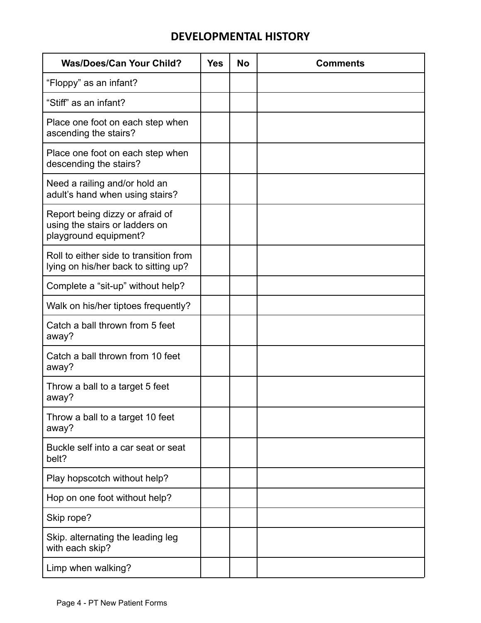## **DEVELOPMENTAL HISTORY**

| <b>Was/Does/Can Your Child?</b>                                                            | <b>Yes</b> | <b>No</b> | <b>Comments</b> |
|--------------------------------------------------------------------------------------------|------------|-----------|-----------------|
| "Floppy" as an infant?                                                                     |            |           |                 |
| "Stiff" as an infant?                                                                      |            |           |                 |
| Place one foot on each step when<br>ascending the stairs?                                  |            |           |                 |
| Place one foot on each step when<br>descending the stairs?                                 |            |           |                 |
| Need a railing and/or hold an<br>adult's hand when using stairs?                           |            |           |                 |
| Report being dizzy or afraid of<br>using the stairs or ladders on<br>playground equipment? |            |           |                 |
| Roll to either side to transition from<br>lying on his/her back to sitting up?             |            |           |                 |
| Complete a "sit-up" without help?                                                          |            |           |                 |
| Walk on his/her tiptoes frequently?                                                        |            |           |                 |
| Catch a ball thrown from 5 feet<br>away?                                                   |            |           |                 |
| Catch a ball thrown from 10 feet<br>away?                                                  |            |           |                 |
| Throw a ball to a target 5 feet<br>away?                                                   |            |           |                 |
| Throw a ball to a target 10 feet<br>away?                                                  |            |           |                 |
| Buckle self into a car seat or seat<br>belt?                                               |            |           |                 |
| Play hopscotch without help?                                                               |            |           |                 |
| Hop on one foot without help?                                                              |            |           |                 |
| Skip rope?                                                                                 |            |           |                 |
| Skip. alternating the leading leg<br>with each skip?                                       |            |           |                 |
| Limp when walking?                                                                         |            |           |                 |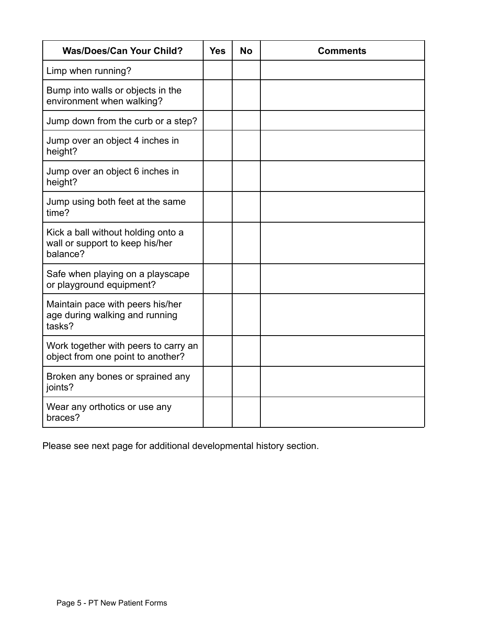| <b>Was/Does/Can Your Child?</b>                                                   | <b>Yes</b> | <b>No</b> | <b>Comments</b> |
|-----------------------------------------------------------------------------------|------------|-----------|-----------------|
| Limp when running?                                                                |            |           |                 |
| Bump into walls or objects in the<br>environment when walking?                    |            |           |                 |
| Jump down from the curb or a step?                                                |            |           |                 |
| Jump over an object 4 inches in<br>height?                                        |            |           |                 |
| Jump over an object 6 inches in<br>height?                                        |            |           |                 |
| Jump using both feet at the same<br>time?                                         |            |           |                 |
| Kick a ball without holding onto a<br>wall or support to keep his/her<br>balance? |            |           |                 |
| Safe when playing on a playscape<br>or playground equipment?                      |            |           |                 |
| Maintain pace with peers his/her<br>age during walking and running<br>tasks?      |            |           |                 |
| Work together with peers to carry an<br>object from one point to another?         |            |           |                 |
| Broken any bones or sprained any<br>joints?                                       |            |           |                 |
| Wear any orthotics or use any<br>braces?                                          |            |           |                 |

Please see next page for additional developmental history section.